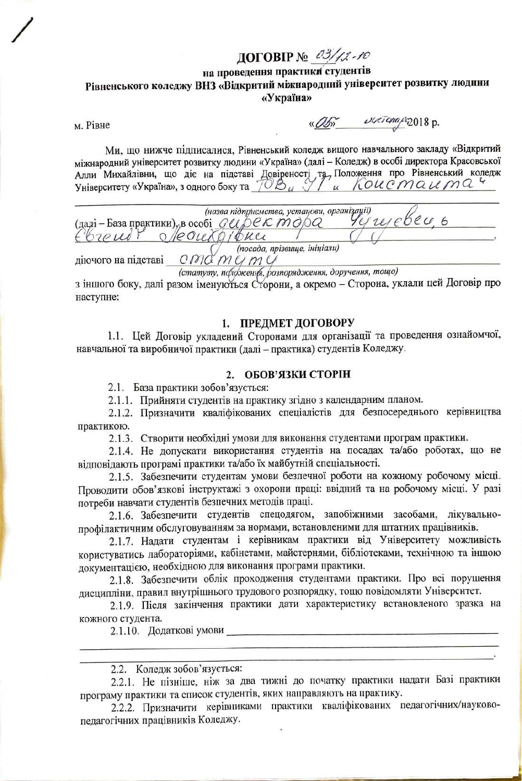# ДОГОВІР № 03/12-10

# на проведення практики студентів Рівненського коледжу ВНЗ «Відкритий міжнародний університет розвитку людини «Україна»

M. PiBHe

«Obs sucremage 2018 p.

Ми, що нижче підписалися, Рівненський коледж вищого навчального закладу «Відкритий міжнародний університет розвитку людини «Україна» (далі - Коледж) в особі директора Красовської Алли Михайлівни, що діє на підставі Довіреності та Положення про Рівненський коледж<br>Університету «Україна», з одного боку та 702 и 91 и 6000 Ма С МАС

(назва підприємства, установи, організації)  $\frac{1}{2}$  (napi-Basa практики), в особі *GUDERMOR Yeyayebu, претигник*у діючого на підставі  $C$  МС МС МУ Ч

(статуту, пформения, розпорядження, доручення, тощо)

з іншого боку, далі разом іменуються Сторони, а окремо - Сторона, уклали цей Договір про наступне:

# 1. ПРЕДМЕТ ДОГОВОРУ

1.1. Цей Договір укладений Сторонами для організації та проведення ознайомчої, навчальної та виробничої практики (далі - практика) студентів Коледжу.

## 2. ОБОВ'ЯЗКИ СТОРІН

2.1. База практики зобов'язується:

2.1.1. Прийняти студентів на практику згідно з календарним планом.

2.1.2. Призначити кваліфікованих спеціалістів для безпосереднього керівництва практикою.

2.1.3. Створити необхідні умови для виконання студентами програм практики.

2.1.4. Не допускати використання студентів на посадах та/або роботах, що не відповідають програмі практики та/або їх майбутній спеціальності.

2.1.5. Забезпечити студентам умови безпечної роботи на кожному робочому місці. Проводити обов'язкові інструктажі з охорони праці: ввідний та на робочому місці. У разі потреби навчати студентів безпечних методів праці.

2.1.6. Забезпечити студентів спецодягом, запобіжними засобами, лікувальнопрофілактичним обслуговуванням за нормами, встановленими для штатних працівників.

2.1.7. Надати студентам і керівникам практики від Університету можливість користуватись лабораторіями, кабінетами, майстернями, бібліотеками, технічною та іншою документацією, необхідною для виконання програми практики.

2.1.8. Забезпечити облік проходження студентами практики. Про всі порушення лисципліни, правил внутрішнього трудового розпорядку, тощо повідомляти Університет.

2.1.9. Після закінчення практики дати характеристику встановленого зразка на кожного студента.

2.1.10. Додаткові умови

2.2. Коледж зобов'язується:

2.2.1. Не пізніше, ніж за два тижні до початку практики надати Базі практики програму практики та список студентів, яких направляють на практику.

2.2.2. Призначити керівниками практики кваліфікованих педагогічних/науковопедагогічних працівників Коледжу.